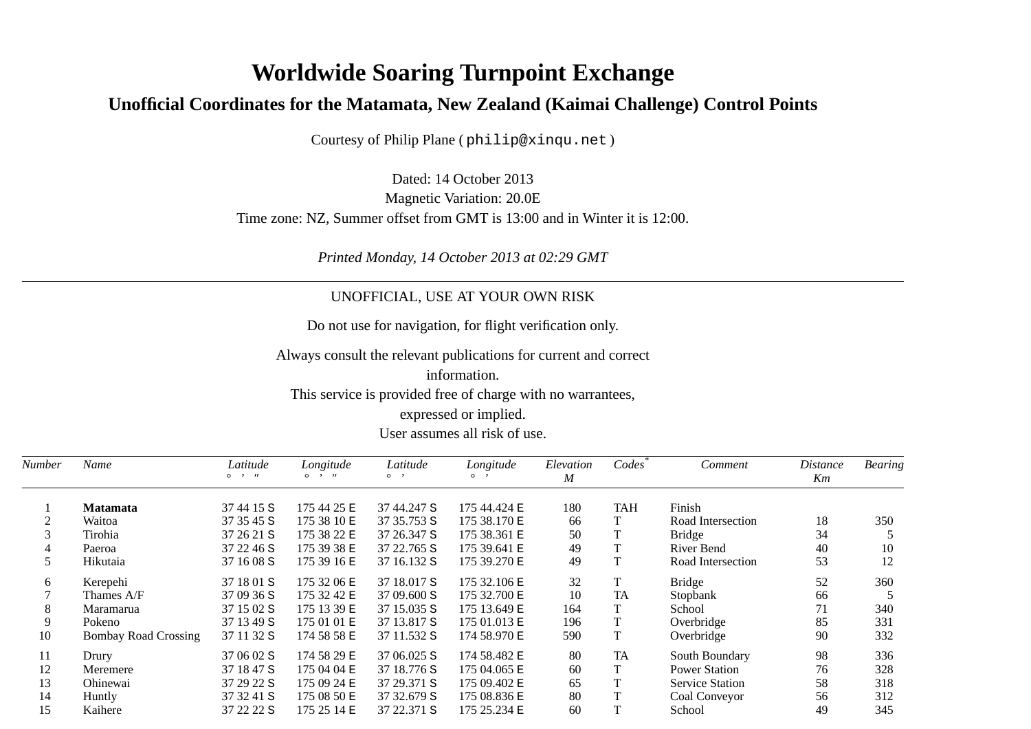## **Worldwide Soaring Turnpoint Exchange**

## **Unofficial Coordinates for the Matamata, New Zealand (Kaimai Challenge) Control Points**

Courtesy of Philip Plane ( philip@xinqu.net )

Dated: 14 October 2013 Magnetic Variation: 20.0ETime zone: NZ, Summer offset from GMT is 13:00 and in Winter it is 12:00.

*Printed Monday, 14 October 2013 at 02:29 GMT*

## UNOFFICIAL, USE AT YOUR OWN RISK

Do not use for navigation, for flight verification only.

Always consult the relevant publications for current and correct

information.This service is provided free of charge with no warrantees,expressed or implied.User assumes all risk of use.

| Number | Name                        | Latitude<br>$\circ$ $\cdot$ $\cdot$ | Longitude<br>$\circ$ $\cdot$ $\cdot$ | Latitude<br>$\circ$ $\cdot$ | Longitude<br>$\circ$ , | Elevation<br>M | Codes      | Comment                | Distance<br>Km | <b>Bearing</b> |
|--------|-----------------------------|-------------------------------------|--------------------------------------|-----------------------------|------------------------|----------------|------------|------------------------|----------------|----------------|
|        | <b>Matamata</b>             | 37 44 15 S                          | 175 44 25 E                          | 37 44.247 S                 | 175 44.424 E           | 180            | <b>TAH</b> | Finish                 |                |                |
|        | Waitoa                      | 37 35 45 S                          | 175 38 10 E                          | 37 35.753 S                 | 175 38.170 E           | 66             | T          | Road Intersection      | 18             | 350            |
|        | Tirohia                     | 37 26 21 S                          | 175 38 22 E                          | 37 26.347 S                 | 175 38.361 E           | 50             | T          | <b>Bridge</b>          | 34             |                |
| 4      | Paeroa                      | 37 22 46 S                          | 175 39 38 E                          | 37 22.765 S                 | 175 39.641 E           | 49             | T          | River Bend             | 40             | 10             |
| 5.     | Hikutaia                    | 37 16 08 S                          | 175 39 16 E                          | 37 16.132 S                 | 175 39.270 E           | 49             | T          | Road Intersection      | 53             | 12             |
| 6      | Kerepehi                    | 37 18 01 S                          | 175 32 06 E                          | 37 18.017 S                 | 175 32.106 E           | 32             | T          | <b>Bridge</b>          | 52             | 360            |
|        | Thames A/F                  | 37 09 36 S                          | 175 32 42 E                          | 37 09.600 S                 | 175 32.700 E           | 10             | <b>TA</b>  | Stopbank               | 66             |                |
| 8      | Maramarua                   | 37 15 02 S                          | 175 13 39 E                          | 37 15.035 S                 | 175 13.649 E           | 164            | T          | School                 | 71             | 340            |
| 9      | Pokeno                      | 37 13 49 S                          | 175 01 01 E                          | 37 13.817 S                 | 175 01.013 E           | 196            | T          | Overbridge             | 85             | 331            |
| 10     | <b>Bombay Road Crossing</b> | 37 11 32 S                          | 174 58 58 E                          | 37 11.532 S                 | 174 58.970 E           | 590            | T          | Overbridge             | 90             | 332            |
| 11     | Drury                       | 37 06 02 S                          | 174 58 29 E                          | 37 06.025 S                 | 174 58.482 E           | 80             | <b>TA</b>  | South Boundary         | 98             | 336            |
| 12     | Meremere                    | 37 18 47 S                          | 175 04 04 E                          | 37 18.776 S                 | 175 04.065 E           | 60             | T          | <b>Power Station</b>   | 76             | 328            |
| 13     | Ohinewai                    | 37 29 22 S                          | 175 09 24 E                          | 37 29.371 S                 | 175 09.402 E           | 65             | T          | <b>Service Station</b> | 58             | 318            |
| 14     | Huntly                      | 37 32 41 S                          | 175 08 50 E                          | 37 32.679 S                 | 175 08.836 E           | 80             | T          | Coal Conveyor          | 56             | 312            |
| 15     | Kaihere                     | 37 22 22 S                          | 175 25 14 E                          | 37 22.371 S                 | 175 25.234 E           | 60             | T          | School                 | 49             | 345            |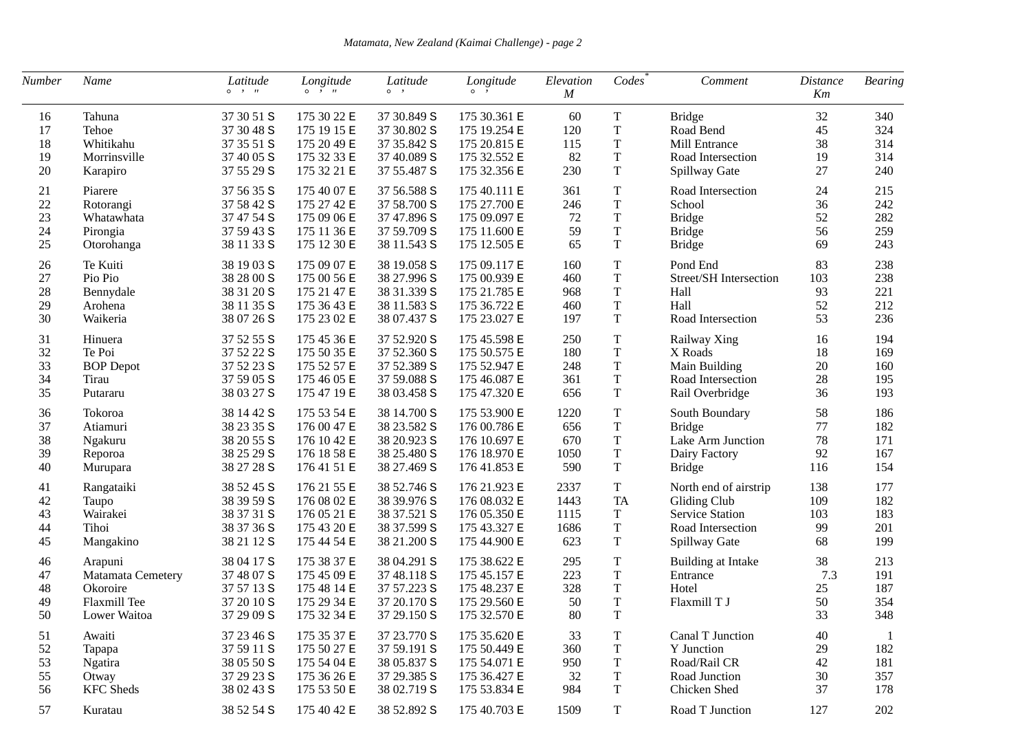*Matamata, New Zealand (Kaimai Challenge) - page 2*

| Number | Name              | Latitude<br>$0 \rightarrow H$ | Longitude<br>$\circ$ $\cdot$ $\cdot$ | Latitude<br>$\circ$ , | Longitude<br>$0 \rightarrow$ | Elevation<br>$\boldsymbol{M}$ | Codes       | Comment                | <i>Distance</i><br>Km | <b>Bearing</b> |
|--------|-------------------|-------------------------------|--------------------------------------|-----------------------|------------------------------|-------------------------------|-------------|------------------------|-----------------------|----------------|
| 16     | Tahuna            | 37 30 51 S                    | 175 30 22 E                          | 37 30.849 S           | 175 30.361 E                 | 60                            | T           | <b>Bridge</b>          | 32                    | 340            |
| 17     | Tehoe             | 37 30 48 S                    | 175 19 15 E                          | 37 30.802 S           | 175 19.254 E                 | 120                           | $\mathbf T$ | Road Bend              | 45                    | 324            |
| 18     | Whitikahu         | 37 35 51 S                    | 175 20 49 E                          | 37 35.842 S           | 175 20.815 E                 | 115                           | $\mathbf T$ | Mill Entrance          | 38                    | 314            |
| 19     | Morrinsville      | 37 40 05 S                    | 175 32 33 E                          | 37 40.089 S           | 175 32.552 E                 | 82                            | $\mathbf T$ | Road Intersection      | 19                    | 314            |
| 20     | Karapiro          | 37 55 29 S                    | 175 32 21 E                          | 37 55.487 S           | 175 32.356 E                 | 230                           | $\mathbf T$ | Spillway Gate          | 27                    | 240            |
| 21     | Piarere           | 37 56 35 S                    | 175 40 07 E                          | 37 56.588 S           | 175 40.111 E                 | 361                           | $\mathbf T$ | Road Intersection      | 24                    | 215            |
| 22     | Rotorangi         | 37 58 42 S                    | 175 27 42 E                          | 37 58.700 S           | 175 27.700 E                 | 246                           | $\rm T$     | School                 | 36                    | 242            |
| 23     | Whatawhata        | 37 47 54 S                    | 175 09 06 E                          | 37 47.896 S           | 175 09.097 E                 | 72                            | $\mathbf T$ | <b>Bridge</b>          | 52                    | 282            |
| 24     | Pirongia          | 37 59 43 S                    | 175 11 36 E                          | 37 59.709 S           | 175 11.600 E                 | 59                            | $\mathbf T$ | <b>Bridge</b>          | 56                    | 259            |
| 25     | Otorohanga        | 38 11 33 S                    | 175 12 30 E                          | 38 11.543 S           | 175 12.505 E                 | 65                            | $\mathbf T$ | <b>Bridge</b>          | 69                    | 243            |
| 26     | Te Kuiti          | 38 19 03 S                    | 175 09 07 E                          | 38 19.058 S           | 175 09.117 E                 | 160                           | $\mathbf T$ | Pond End               | 83                    | 238            |
| 27     | Pio Pio           | 38 28 00 S                    | 175 00 56 E                          | 38 27.996 S           | 175 00.939 E                 | 460                           | $\mathbf T$ | Street/SH Intersection | 103                   | 238            |
| 28     | Bennydale         | 38 31 20 S                    | 175 21 47 E                          | 38 31.339 S           | 175 21.785 E                 | 968                           | $\mathbf T$ | Hall                   | 93                    | 221            |
| 29     | Arohena           | 38 11 35 S                    | 175 36 43 E                          | 38 11.583 S           | 175 36.722 E                 | 460                           | $\mathbf T$ | Hall                   | 52                    | 212            |
| 30     | Waikeria          | 38 07 26 S                    | 175 23 02 E                          | 38 07.437 S           | 175 23.027 E                 | 197                           | $\mathbf T$ | Road Intersection      | 53                    | 236            |
| 31     | Hinuera           | 37 52 55 S                    | 175 45 36 E                          | 37 52.920 S           | 175 45.598 E                 | 250                           | $\mathbf T$ | Railway Xing           | 16                    | 194            |
| 32     | Te Poi            | 37 52 22 S                    | 175 50 35 E                          | 37 52.360 S           | 175 50.575 E                 | 180                           | $\rm T$     | X Roads                | 18                    | 169            |
| 33     | <b>BOP</b> Depot  | 37 52 23 S                    | 175 52 57 E                          | 37 52.389 S           | 175 52.947 E                 | 248                           | $\mathbf T$ | Main Building          | 20                    | 160            |
| 34     | Tirau             | 37 59 05 S                    | 175 46 05 E                          | 37 59.088 S           | 175 46.087 E                 | 361                           | $\mathbf T$ | Road Intersection      | 28                    | 195            |
| 35     | Putararu          | 38 03 27 S                    | 175 47 19 E                          | 38 03.458 S           | 175 47.320 E                 | 656                           | T           | Rail Overbridge        | 36                    | 193            |
| 36     | Tokoroa           | 38 14 42 S                    | 175 53 54 E                          | 38 14.700 S           | 175 53.900 E                 | 1220                          | $\mathbf T$ | South Boundary         | 58                    | 186            |
| 37     | Atiamuri          | 38 23 35 S                    | 176 00 47 E                          | 38 23.582 S           | 176 00.786 E                 | 656                           | $\mathbf T$ | <b>Bridge</b>          | 77                    | 182            |
| 38     | Ngakuru           | 38 20 55 S                    | 176 10 42 E                          | 38 20.923 S           | 176 10.697 E                 | 670                           | $\mathbf T$ | Lake Arm Junction      | 78                    | 171            |
| 39     | Reporoa           | 38 25 29 S                    | 176 18 58 E                          | 38 25.480 S           | 176 18.970 E                 | 1050                          | $\mathbf T$ | Dairy Factory          | 92                    | 167            |
| 40     | Murupara          | 38 27 28 S                    | 176 41 51 E                          | 38 27.469 S           | 176 41.853 E                 | 590                           | $\mathbf T$ | <b>Bridge</b>          | 116                   | 154            |
| 41     | Rangataiki        | 38 52 45 S                    | 176 21 55 E                          | 38 52.746 S           | 176 21.923 E                 | 2337                          | $\mathbf T$ | North end of airstrip  | 138                   | 177            |
| 42     | Taupo             | 38 39 59 S                    | 176 08 02 E                          | 38 39.976 S           | 176 08.032 E                 | 1443                          | <b>TA</b>   | Gliding Club           | 109                   | 182            |
| 43     | Wairakei          | 38 37 31 S                    | 176 05 21 E                          | 38 37.521 S           | 176 05.350 E                 | 1115                          | $\mathbf T$ | <b>Service Station</b> | 103                   | 183            |
| 44     | Tihoi             | 38 37 36 S                    | 175 43 20 E                          | 38 37.599 S           | 175 43.327 E                 | 1686                          | T           | Road Intersection      | 99                    | 201            |
| 45     | Mangakino         | 38 21 12 S                    | 175 44 54 E                          | 38 21.200 S           | 175 44.900 E                 | 623                           | $\mathbf T$ | Spillway Gate          | 68                    | 199            |
| 46     | Arapuni           | 38 04 17 S                    | 175 38 37 E                          | 38 04.291 S           | 175 38.622 E                 | 295                           | $\mathbf T$ | Building at Intake     | 38                    | 213            |
| 47     | Matamata Cemetery | 37 48 07 S                    | 175 45 09 E                          | 37 48.118 S           | 175 45.157 E                 | 223                           | $\mathbf T$ | Entrance               | 7.3                   | 191            |
| 48     | Okoroire          | 37 57 13 S                    | 175 48 14 E                          | 37 57.223 S           | 175 48.237 E                 | 328                           | $\mathbf T$ | Hotel                  | 25                    | 187            |
| 49     | Flaxmill Tee      | 37 20 10 S                    | 175 29 34 E                          | 37 20.170 S           | 175 29.560 E                 | 50                            | $\mathbf T$ | Flaxmill T J           | 50                    | 354            |
| 50     | Lower Waitoa      | 37 29 09 S                    | 175 32 34 E                          | 37 29.150 S           | 175 32.570 E                 | 80                            | T           |                        | 33                    | 348            |
| 51     | Awaiti            | 37 23 46 S                    | 175 35 37 E                          | 37 23.770 S           | 175 35.620 E                 | 33                            | T           | Canal T Junction       | 40                    | -1             |
| $52\,$ | Tapapa            | 37 59 11 S                    | 175 50 27 E                          | 37 59.191 S           | 175 50.449 E                 | 360                           | T           | Y Junction             | 29                    | 182            |
| 53     | Ngatira           | 38 05 50 S                    | 175 54 04 E                          | 38 05.837 S           | 175 54.071 E                 | 950                           | $\mathbf T$ | Road/Rail CR           | 42                    | 181            |
| 55     | Otway             | 37 29 23 S                    | 175 36 26 E                          | 37 29.385 S           | 175 36.427 E                 | 32                            | T           | Road Junction          | 30                    | 357            |
| 56     | <b>KFC</b> Sheds  | 38 02 43 S                    | 175 53 50 E                          | 38 02.719 S           | 175 53.834 E                 | 984                           | T           | Chicken Shed           | 37                    | 178            |
| 57     | Kuratau           | 38 52 54 S                    | 175 40 42 E                          | 38 52.892 S           | 175 40.703 E                 | 1509                          | T           | Road T Junction        | 127                   | 202            |